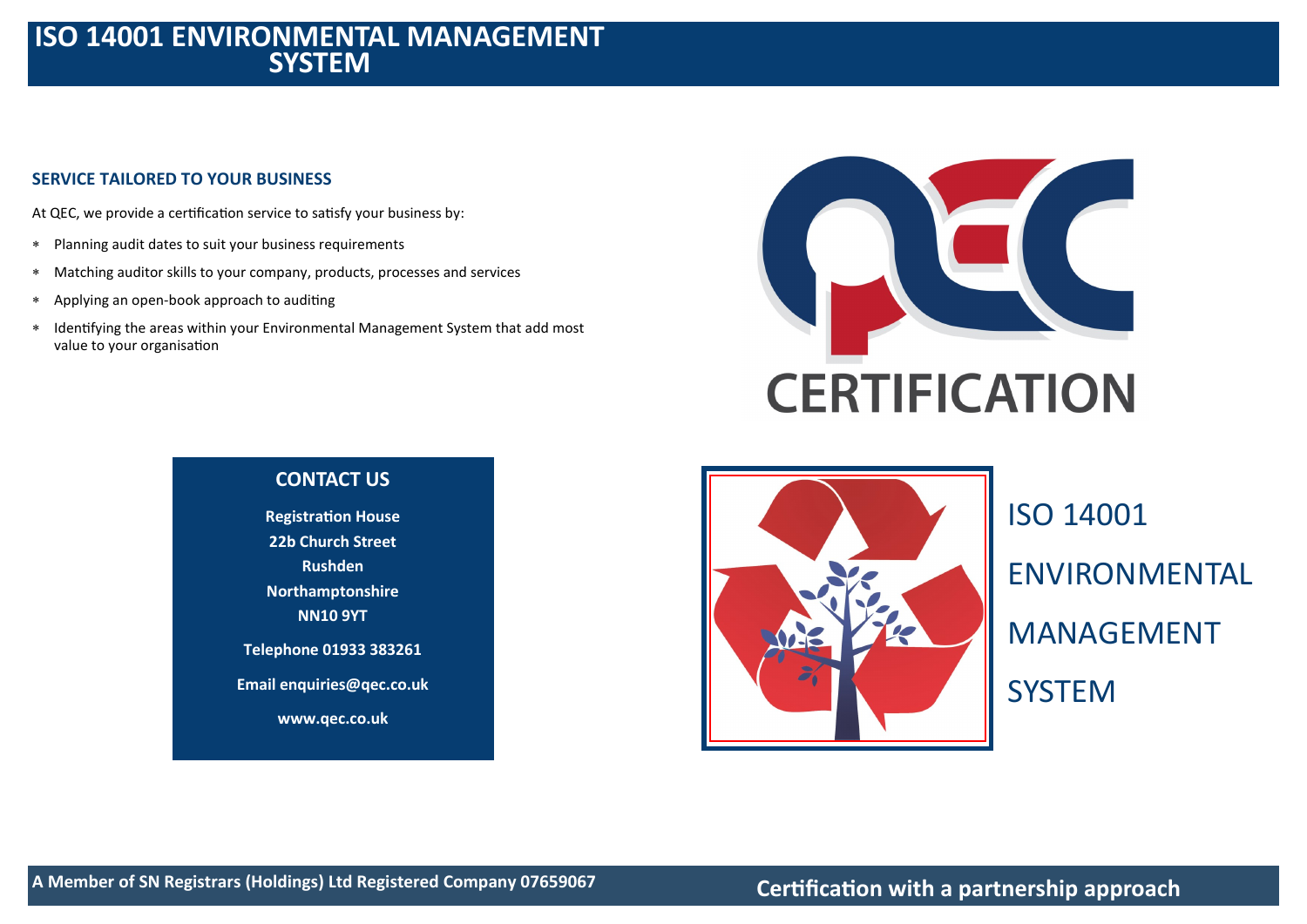# **ISO 14001 ENVIRONMENTAL MANAGEMENT SYSTEM**

# **SERVICE TAILORED TO YOUR BUSINESS**

At QEC, we provide a certification service to satisfy your business by:

- Planning audit dates to suit your business requirements
- Matching auditor skills to your company, products, processes and services
- Applying an open-book approach to auditing
- Identifying the areas within your Environmental Management System that add most value to your organisation







ISO 14001 ENVIRONMENTAL MANAGEMENT **SYSTEM**